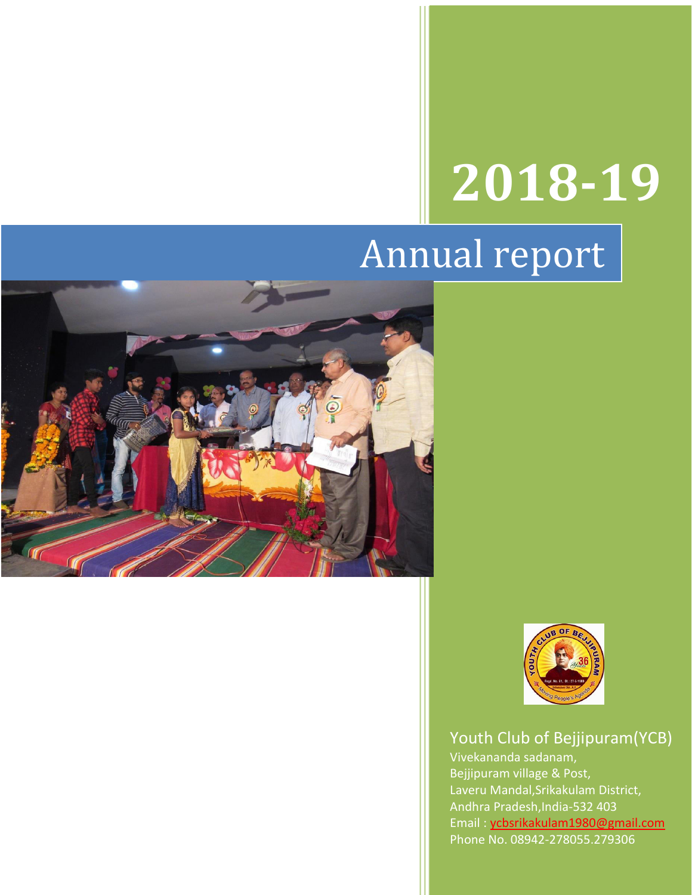# **2018-19**

# Annual report





# Youth Club of Bejjipuram(YCB)

Vivekananda sadanam, Bejjipuram village & Post, Laveru Mandal,Srikakulam District, Andhra Pradesh,India-532 403 Email : [ycbsrikakulam1980@gmail.com](mailto:ycbsrikakulam1980@gmail.com)  Phone No. 08942-278055,279306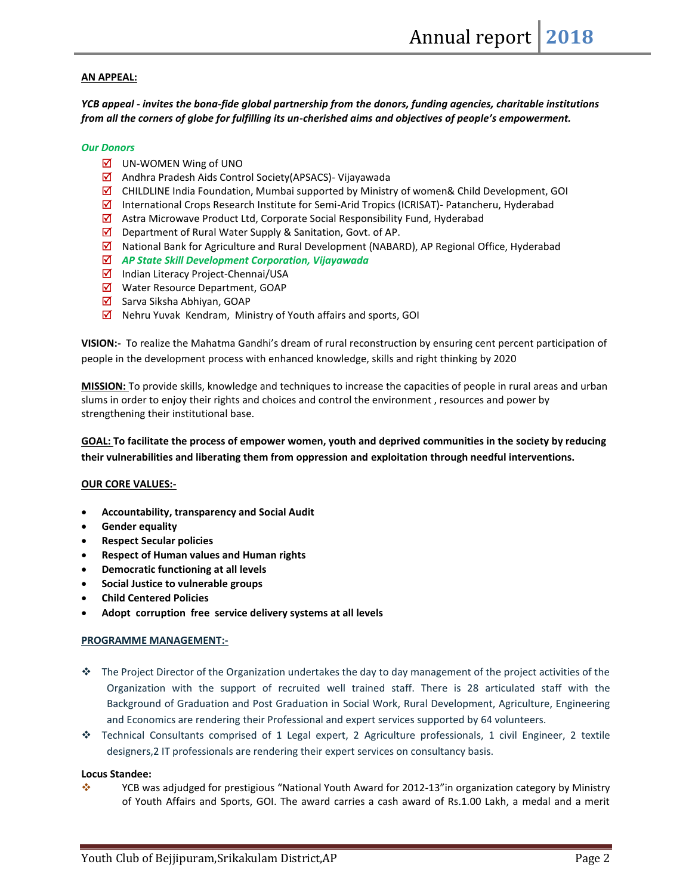#### **AN APPEAL:**

*YCB appeal - invites the bona-fide global partnership from the donors, funding agencies, charitable institutions from all the corners of globe for fulfilling its un-cherished aims and objectives of people's empowerment.* 

#### *Our Donors*

- $\boxtimes$  UN-WOMEN Wing of UNO
- Andhra Pradesh Aids Control Society(APSACS)- Vijayawada
- $\overline{\mathbf{Q}}$  CHILDLINE India Foundation, Mumbai supported by Ministry of women& Child Development, GOI
- $\boxtimes$  International Crops Research Institute for Semi-Arid Tropics (ICRISAT)- Patancheru, Hyderabad
- $\boxtimes$  Astra Microwave Product Ltd, Corporate Social Responsibility Fund, Hyderabad
- $\boxtimes$  Department of Rural Water Supply & Sanitation, Govt. of AP.
- $\boxtimes$  National Bank for Agriculture and Rural Development (NABARD), AP Regional Office, Hyderabad
- *AP State Skill Development Corporation, Vijayawada*
- $\boxtimes$  Indian Literacy Project-Chennai/USA
- Water Resource Department, GOAP
- $\boxtimes$  Sarva Siksha Abhiyan, GOAP
- $\boxtimes$  Nehru Yuvak Kendram, Ministry of Youth affairs and sports, GOI

**VISION:-** To realize the Mahatma Gandhi's dream of rural reconstruction by ensuring cent percent participation of people in the development process with enhanced knowledge, skills and right thinking by 2020

**MISSION:** To provide skills, knowledge and techniques to increase the capacities of people in rural areas and urban slums in order to enjoy their rights and choices and control the environment , resources and power by strengthening their institutional base.

**GOAL: To facilitate the process of empower women, youth and deprived communities in the society by reducing their vulnerabilities and liberating them from oppression and exploitation through needful interventions.**

#### **OUR CORE VALUES:-**

- **Accountability, transparency and Social Audit**
- **Gender equality**
- **Respect Secular policies**
- **Respect of Human values and Human rights**
- **Democratic functioning at all levels**
- **Social Justice to vulnerable groups**
- **Child Centered Policies**
- **Adopt corruption free service delivery systems at all levels**

#### **PROGRAMME MANAGEMENT:-**

- The Project Director of the Organization undertakes the day to day management of the project activities of the Organization with the support of recruited well trained staff. There is 28 articulated staff with the Background of Graduation and Post Graduation in Social Work, Rural Development, Agriculture, Engineering and Economics are rendering their Professional and expert services supported by 64 volunteers.
- Technical Consultants comprised of 1 Legal expert, 2 Agriculture professionals, 1 civil Engineer, 2 textile designers,2 IT professionals are rendering their expert services on consultancy basis.

#### **Locus Standee:**

 YCB was adjudged for prestigious "National Youth Award for 2012-13"in organization category by Ministry of Youth Affairs and Sports, GOI. The award carries a cash award of Rs.1.00 Lakh, a medal and a merit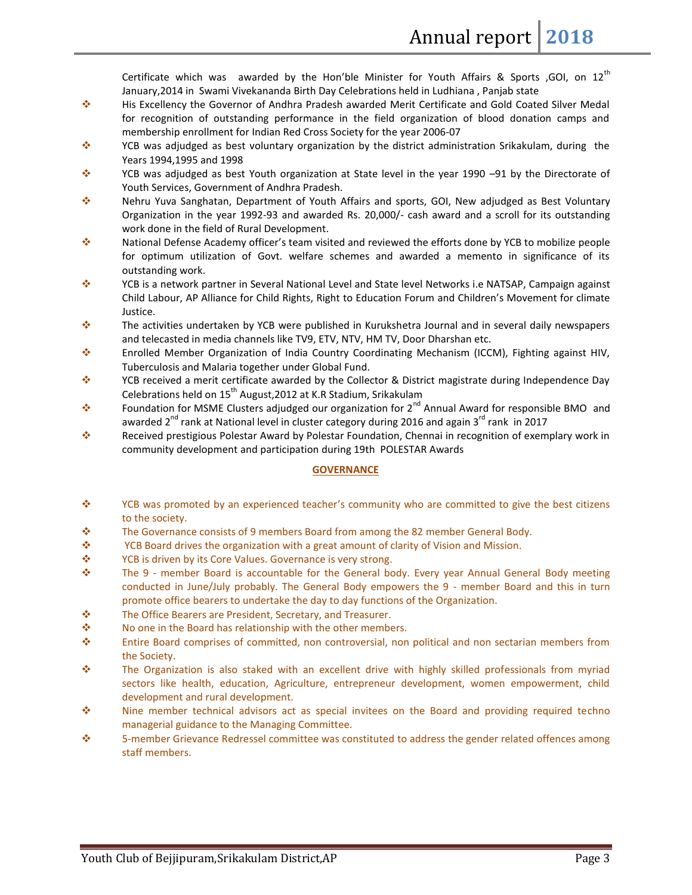Certificate which was awarded by the Hon'ble Minister for Youth Affairs & Sports ,GOI, on  $12^{th}$ January,2014 in Swami Vivekananda Birth Day Celebrations held in Ludhiana , Panjab state

- His Excellency the Governor of Andhra Pradesh awarded Merit Certificate and Gold Coated Silver Medal for recognition of outstanding performance in the field organization of blood donation camps and membership enrollment for Indian Red Cross Society for the year 2006-07
- $\cdot$  YCB was adjudged as best voluntary organization by the district administration Srikakulam, during the Years 1994,1995 and 1998
- YCB was adjudged as best Youth organization at State level in the year 1990 –91 by the Directorate of Youth Services, Government of Andhra Pradesh.
- Nehru Yuva Sanghatan, Department of Youth Affairs and sports, GOI, New adjudged as Best Voluntary Organization in the year 1992-93 and awarded Rs. 20,000/- cash award and a scroll for its outstanding work done in the field of Rural Development.
- National Defense Academy officer's team visited and reviewed the efforts done by YCB to mobilize people for optimum utilization of Govt. welfare schemes and awarded a memento in significance of its outstanding work.
- YCB is a network partner in Several National Level and State level Networks i.e NATSAP, Campaign against Child Labour, AP Alliance for Child Rights, Right to Education Forum and Children's Movement for climate Justice.
- $\cdot \cdot$  The activities undertaken by YCB were published in Kurukshetra Journal and in several daily newspapers and telecasted in media channels like TV9, ETV, NTV, HM TV, Door Dharshan etc.
- Enrolled Member Organization of India Country Coordinating Mechanism (ICCM), Fighting against HIV, Tuberculosis and Malaria together under Global Fund.
- YCB received a merit certificate awarded by the Collector & District magistrate during Independence Day Celebrations held on  $15^{th}$  August, 2012 at K.R Stadium, Srikakulam
- Foundation for MSME Clusters adjudged our organization for  $2^{nd}$  Annual Award for responsible BMO and awarded 2<sup>nd</sup> rank at National level in cluster category during 2016 and again 3<sup>rd</sup> rank in 2017
- Received prestigious Polestar Award by Polestar Foundation, Chennai in recognition of exemplary work in community development and participation during 19th POLESTAR Awards

#### **GOVERNANCE**

- \* YCB was promoted by an experienced teacher's community who are committed to give the best citizens to the society.
- The Governance consists of 9 members Board from among the 82 member General Body.
- $\div$  YCB Board drives the organization with a great amount of clarity of Vision and Mission.
- ◆ YCB is driven by its Core Values. Governance is very strong.
- $\div$  The 9 member Board is accountable for the General body. Every year Annual General Body meeting conducted in June/July probably. The General Body empowers the 9 - member Board and this in turn promote office bearers to undertake the day to day functions of the Organization.
- The Office Bearers are President, Secretary, and Treasurer.
- $\mathbf{\hat{P}}$  No one in the Board has relationship with the other members.
- Entire Board comprises of committed, non controversial, non political and non sectarian members from the Society.
- The Organization is also staked with an excellent drive with highly skilled professionals from myriad sectors like health, education, Agriculture, entrepreneur development, women empowerment, child development and rural development.
- ◆ Nine member technical advisors act as special invitees on the Board and providing required techno managerial guidance to the Managing Committee.
- 5-member Grievance Redressel committee was constituted to address the gender related offences among staff members.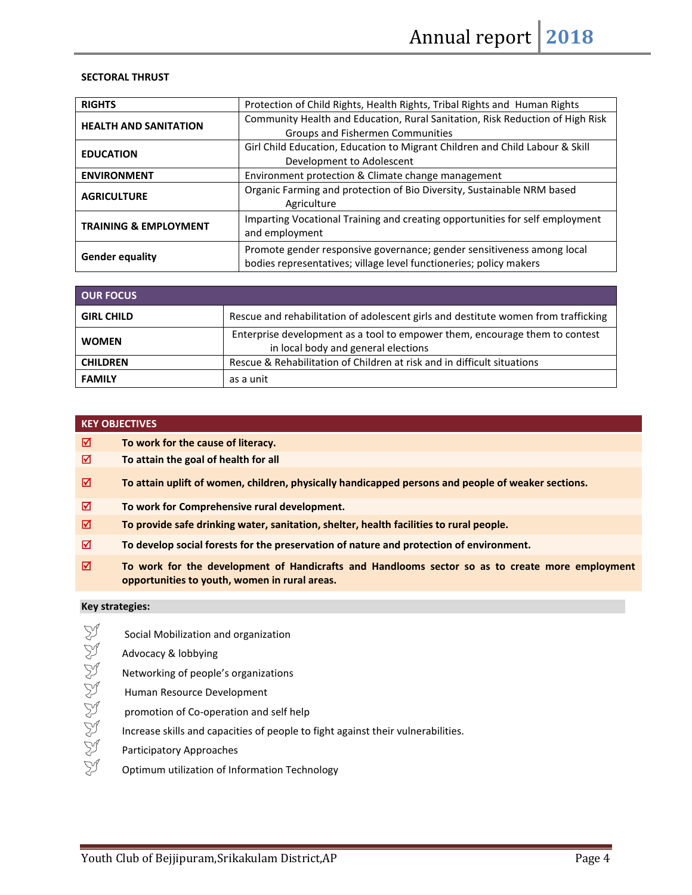#### **SECTORAL THRUST**

| <b>RIGHTS</b>                    | Protection of Child Rights, Health Rights, Tribal Rights and Human Rights                                                                    |  |  |
|----------------------------------|----------------------------------------------------------------------------------------------------------------------------------------------|--|--|
| <b>HEALTH AND SANITATION</b>     | Community Health and Education, Rural Sanitation, Risk Reduction of High Risk                                                                |  |  |
|                                  | Groups and Fishermen Communities                                                                                                             |  |  |
|                                  | Girl Child Education, Education to Migrant Children and Child Labour & Skill                                                                 |  |  |
| <b>EDUCATION</b>                 | Development to Adolescent                                                                                                                    |  |  |
| <b>ENVIRONMENT</b>               | Environment protection & Climate change management                                                                                           |  |  |
| <b>AGRICULTURE</b>               | Organic Farming and protection of Bio Diversity, Sustainable NRM based<br>Agriculture                                                        |  |  |
| <b>TRAINING &amp; EMPLOYMENT</b> | Imparting Vocational Training and creating opportunities for self employment<br>and employment                                               |  |  |
| <b>Gender equality</b>           | Promote gender responsive governance; gender sensitiveness among local<br>bodies representatives; village level functioneries; policy makers |  |  |

| <b>OUR FOCUS</b>  |                                                                                                                    |  |  |
|-------------------|--------------------------------------------------------------------------------------------------------------------|--|--|
| <b>GIRL CHILD</b> | Rescue and rehabilitation of adolescent girls and destitute women from trafficking                                 |  |  |
| <b>WOMEN</b>      | Enterprise development as a tool to empower them, encourage them to contest<br>in local body and general elections |  |  |
| <b>CHILDREN</b>   | Rescue & Rehabilitation of Children at risk and in difficult situations                                            |  |  |
| <b>FAMILY</b>     | as a unit                                                                                                          |  |  |

#### **KEY OBJECTIVES**

- **To work for the cause of literacy.**
- **To attain the goal of health for all**
- **To attain uplift of women, children, physically handicapped persons and people of weaker sections.**
- **To work for Comprehensive rural development.**
- **To provide safe drinking water, sanitation, shelter, health facilities to rural people.**
- **To develop social forests for the preservation of nature and protection of environment.**
- **To work for the development of Handicrafts and Handlooms sector so as to create more employment opportunities to youth, women in rural areas.**

#### **Key strategies:**

- Social Mobilization and organization<br>Synchocacy & lobbying Advocacy & lobbying Networking of people's organizations Human Resource Development
- 
- $\begin{array}{ll}\n\swarrow & \text{promotion of Co-operation and self help} \\
\swarrow & \text{Increase skills and capacities of people to}\n\end{array}$ <br>Participatory Approaches Increase skills and capacities of people to fight against their vulnerabilities.
- گرے<br>Participatory Approaches<br>D⊅ Optimum utilization of Inf
- Optimum utilization of Information Technology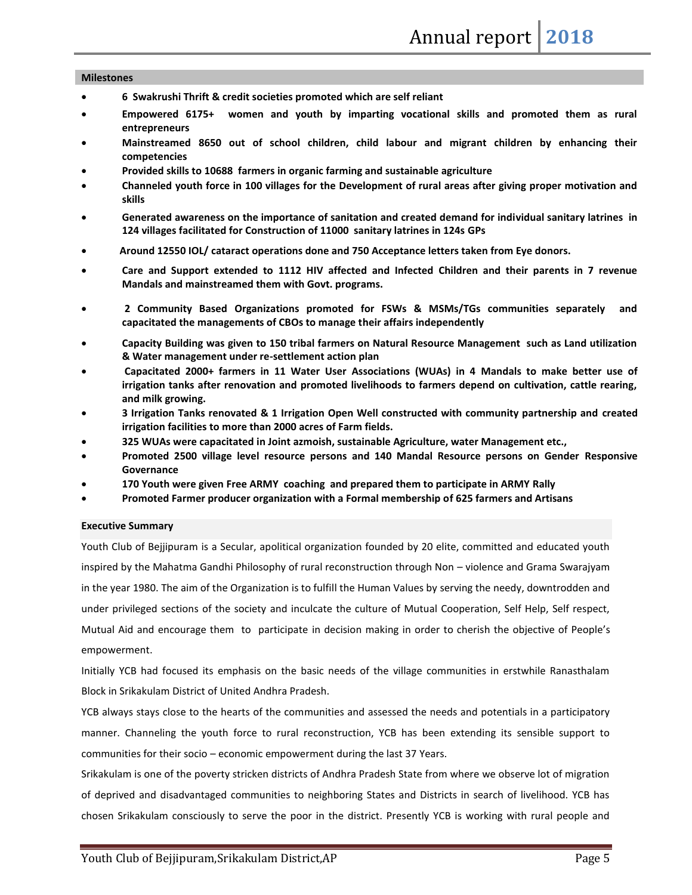#### **Milestones**

- **6 Swakrushi Thrift & credit societies promoted which are self reliant**
- **Empowered 6175+ women and youth by imparting vocational skills and promoted them as rural entrepreneurs**
- **Mainstreamed 8650 out of school children, child labour and migrant children by enhancing their competencies**
- **Provided skills to 10688 farmers in organic farming and sustainable agriculture**
- **Channeled youth force in 100 villages for the Development of rural areas after giving proper motivation and skills**
- **Generated awareness on the importance of sanitation and created demand for individual sanitary latrines in 124 villages facilitated for Construction of 11000 sanitary latrines in 124s GPs**
- **Around 12550 IOL/ cataract operations done and 750 Acceptance letters taken from Eye donors.**
- **Care and Support extended to 1112 HIV affected and Infected Children and their parents in 7 revenue Mandals and mainstreamed them with Govt. programs.**
- **2 Community Based Organizations promoted for FSWs & MSMs/TGs communities separately and capacitated the managements of CBOs to manage their affairs independently**
- **Capacity Building was given to 150 tribal farmers on Natural Resource Management such as Land utilization & Water management under re-settlement action plan**
- **Capacitated 2000+ farmers in 11 Water User Associations (WUAs) in 4 Mandals to make better use of irrigation tanks after renovation and promoted livelihoods to farmers depend on cultivation, cattle rearing, and milk growing.**
- **3 Irrigation Tanks renovated & 1 Irrigation Open Well constructed with community partnership and created irrigation facilities to more than 2000 acres of Farm fields.**
- **325 WUAs were capacitated in Joint azmoish, sustainable Agriculture, water Management etc.,**
- **Promoted 2500 village level resource persons and 140 Mandal Resource persons on Gender Responsive Governance**
- **170 Youth were given Free ARMY coaching and prepared them to participate in ARMY Rally**
- **Promoted Farmer producer organization with a Formal membership of 625 farmers and Artisans**

#### **Executive Summary**

Youth Club of Bejjipuram is a Secular, apolitical organization founded by 20 elite, committed and educated youth inspired by the Mahatma Gandhi Philosophy of rural reconstruction through Non – violence and Grama Swarajyam in the year 1980. The aim of the Organization is to fulfill the Human Values by serving the needy, downtrodden and under privileged sections of the society and inculcate the culture of Mutual Cooperation, Self Help, Self respect, Mutual Aid and encourage them to participate in decision making in order to cherish the objective of People's empowerment.

Initially YCB had focused its emphasis on the basic needs of the village communities in erstwhile Ranasthalam Block in Srikakulam District of United Andhra Pradesh.

YCB always stays close to the hearts of the communities and assessed the needs and potentials in a participatory manner. Channeling the youth force to rural reconstruction, YCB has been extending its sensible support to communities for their socio – economic empowerment during the last 37 Years.

Srikakulam is one of the poverty stricken districts of Andhra Pradesh State from where we observe lot of migration of deprived and disadvantaged communities to neighboring States and Districts in search of livelihood. YCB has chosen Srikakulam consciously to serve the poor in the district. Presently YCB is working with rural people and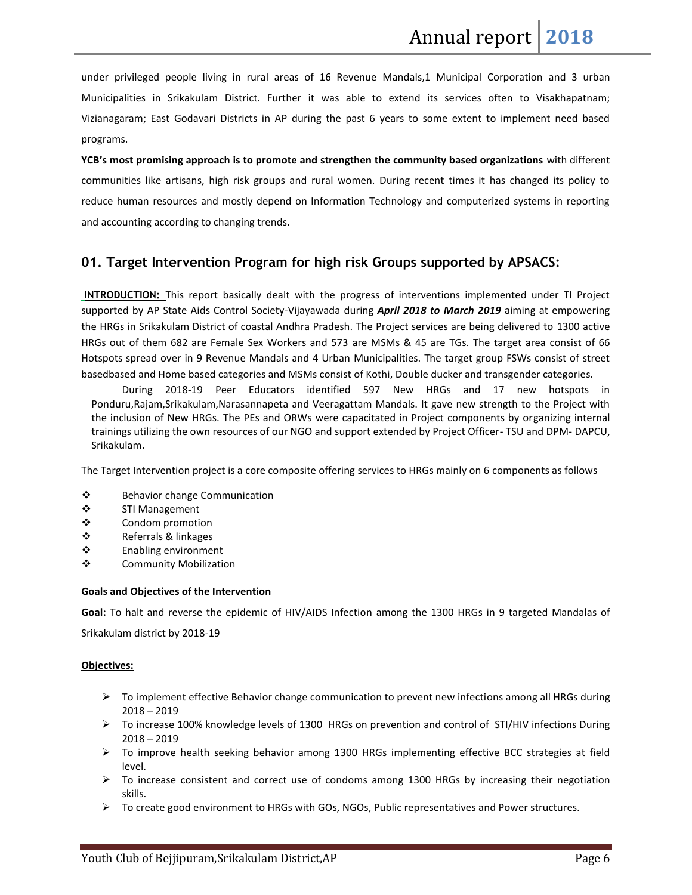under privileged people living in rural areas of 16 Revenue Mandals,1 Municipal Corporation and 3 urban Municipalities in Srikakulam District. Further it was able to extend its services often to Visakhapatnam; Vizianagaram; East Godavari Districts in AP during the past 6 years to some extent to implement need based programs.

**YCB's most promising approach is to promote and strengthen the community based organizations** with different communities like artisans, high risk groups and rural women. During recent times it has changed its policy to reduce human resources and mostly depend on Information Technology and computerized systems in reporting and accounting according to changing trends.

#### **01. Target Intervention Program for high risk Groups supported by APSACS:**

**INTRODUCTION:** This report basically dealt with the progress of interventions implemented under TI Project supported by AP State Aids Control Society-Vijayawada during *April 2018 to March 2019* aiming at empowering the HRGs in Srikakulam District of coastal Andhra Pradesh. The Project services are being delivered to 1300 active HRGs out of them 682 are Female Sex Workers and 573 are MSMs & 45 are TGs. The target area consist of 66 Hotspots spread over in 9 Revenue Mandals and 4 Urban Municipalities. The target group FSWs consist of street basedbased and Home based categories and MSMs consist of Kothi, Double ducker and transgender categories.

 During 2018-19 Peer Educators identified 597 New HRGs and 17 new hotspots in Ponduru,Rajam,Srikakulam,Narasannapeta and Veeragattam Mandals. It gave new strength to the Project with the inclusion of New HRGs. The PEs and ORWs were capacitated in Project components by organizing internal trainings utilizing the own resources of our NGO and support extended by Project Officer- TSU and DPM- DAPCU, Srikakulam.

The Target Intervention project is a core composite offering services to HRGs mainly on 6 components as follows

- **❖** Behavior change Communication
- ❖ STI Management
- ❖ Condom promotion
- ❖ Referrals & linkages
- **❖** Enabling environment
- **❖** Community Mobilization

#### **Goals and Objectives of the Intervention**

**Goal:** To halt and reverse the epidemic of HIV/AIDS Infection among the 1300 HRGs in 9 targeted Mandalas of Srikakulam district by 2018-19

#### **Objectives:**

- $\triangleright$  To implement effective Behavior change communication to prevent new infections among all HRGs during 2018 – 2019
- $\triangleright$  To increase 100% knowledge levels of 1300 HRGs on prevention and control of STI/HIV infections During 2018 – 2019
- $\triangleright$  To improve health seeking behavior among 1300 HRGs implementing effective BCC strategies at field level.
- $\triangleright$  To increase consistent and correct use of condoms among 1300 HRGs by increasing their negotiation skills.
- $\triangleright$  To create good environment to HRGs with GOs, NGOs, Public representatives and Power structures.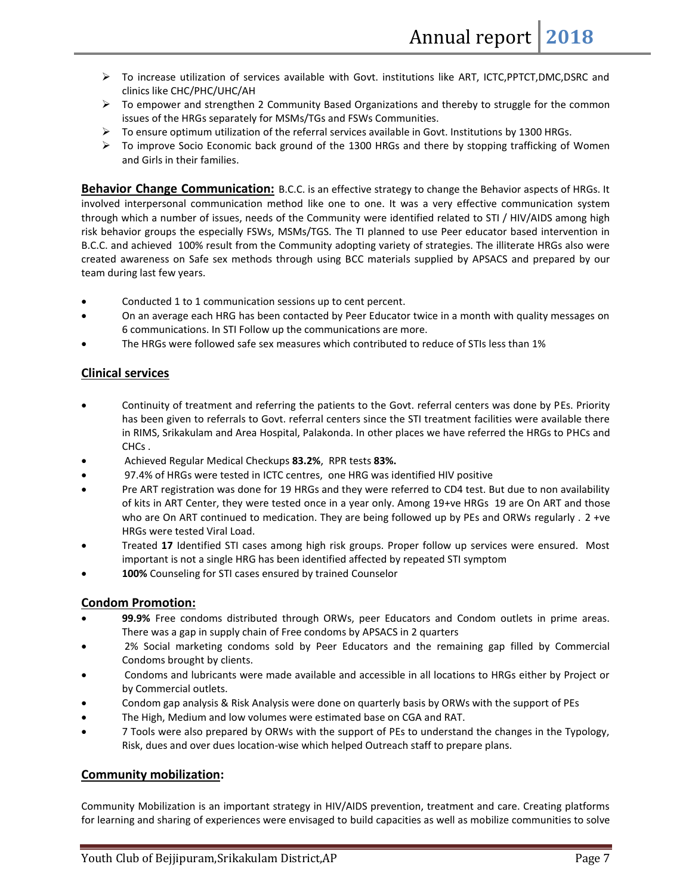- To increase utilization of services available with Govt. institutions like ART, ICTC,PPTCT,DMC,DSRC and clinics like CHC/PHC/UHC/AH
- $\triangleright$  To empower and strengthen 2 Community Based Organizations and thereby to struggle for the common issues of the HRGs separately for MSMs/TGs and FSWs Communities.
- $\triangleright$  To ensure optimum utilization of the referral services available in Govt. Institutions by 1300 HRGs.
- $\triangleright$  To improve Socio Economic back ground of the 1300 HRGs and there by stopping trafficking of Women and Girls in their families.

**Behavior Change Communication:** B.C.C. is an effective strategy to change the Behavior aspects of HRGs. It involved interpersonal communication method like one to one. It was a very effective communication system through which a number of issues, needs of the Community were identified related to STI / HIV/AIDS among high risk behavior groups the especially FSWs, MSMs/TGS. The TI planned to use Peer educator based intervention in B.C.C. and achieved 100% result from the Community adopting variety of strategies. The illiterate HRGs also were created awareness on Safe sex methods through using BCC materials supplied by APSACS and prepared by our team during last few years.

- Conducted 1 to 1 communication sessions up to cent percent.
- On an average each HRG has been contacted by Peer Educator twice in a month with quality messages on 6 communications. In STI Follow up the communications are more.
- The HRGs were followed safe sex measures which contributed to reduce of STIs less than 1%

#### **Clinical services**

- Continuity of treatment and referring the patients to the Govt. referral centers was done by PEs. Priority has been given to referrals to Govt. referral centers since the STI treatment facilities were available there in RIMS, Srikakulam and Area Hospital, Palakonda. In other places we have referred the HRGs to PHCs and CHCs .
- Achieved Regular Medical Checkups **83.2%**, RPR tests **83%.**
- 97.4% of HRGs were tested in ICTC centres, one HRG was identified HIV positive
- Pre ART registration was done for 19 HRGs and they were referred to CD4 test. But due to non availability of kits in ART Center, they were tested once in a year only. Among 19+ve HRGs 19 are On ART and those who are On ART continued to medication. They are being followed up by PEs and ORWs regularly . 2 +ve HRGs were tested Viral Load.
- Treated **17** Identified STI cases among high risk groups. Proper follow up services were ensured. Most important is not a single HRG has been identified affected by repeated STI symptom
- **100%** Counseling for STI cases ensured by trained Counselor

#### **Condom Promotion:**

- **99.9%** Free condoms distributed through ORWs, peer Educators and Condom outlets in prime areas. There was a gap in supply chain of Free condoms by APSACS in 2 quarters
- 2% Social marketing condoms sold by Peer Educators and the remaining gap filled by Commercial Condoms brought by clients.
- Condoms and lubricants were made available and accessible in all locations to HRGs either by Project or by Commercial outlets.
- Condom gap analysis & Risk Analysis were done on quarterly basis by ORWs with the support of PEs
- The High, Medium and low volumes were estimated base on CGA and RAT.
- 7 Tools were also prepared by ORWs with the support of PEs to understand the changes in the Typology, Risk, dues and over dues location-wise which helped Outreach staff to prepare plans.

#### **Community mobilization:**

Community Mobilization is an important strategy in HIV/AIDS prevention, treatment and care. Creating platforms for learning and sharing of experiences were envisaged to build capacities as well as mobilize communities to solve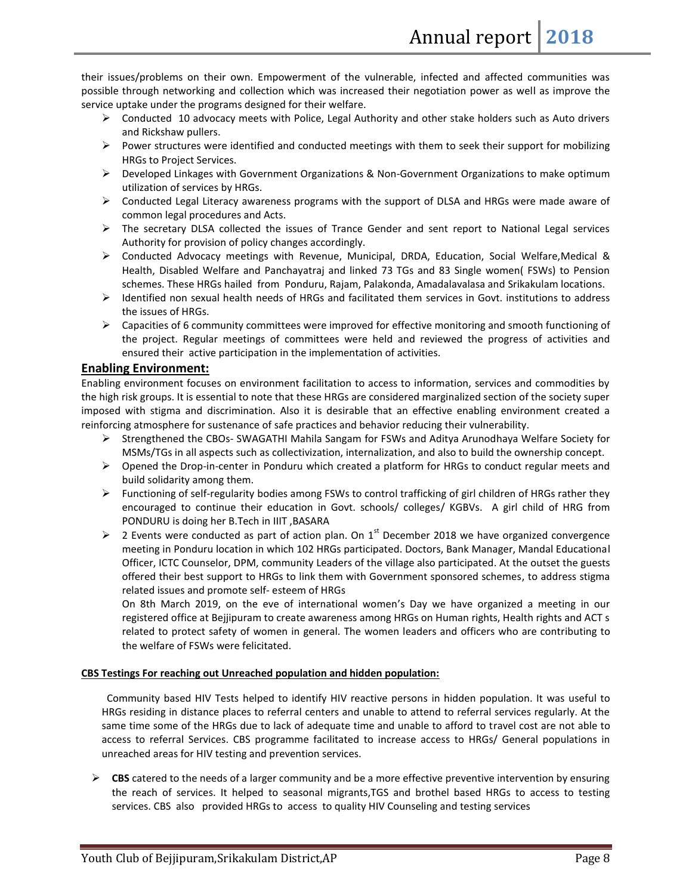their issues/problems on their own. Empowerment of the vulnerable, infected and affected communities was possible through networking and collection which was increased their negotiation power as well as improve the service uptake under the programs designed for their welfare.

- $\triangleright$  Conducted 10 advocacy meets with Police, Legal Authority and other stake holders such as Auto drivers and Rickshaw pullers.
- $\triangleright$  Power structures were identified and conducted meetings with them to seek their support for mobilizing HRGs to Project Services.
- $\triangleright$  Developed Linkages with Government Organizations & Non-Government Organizations to make optimum utilization of services by HRGs.
- Conducted Legal Literacy awareness programs with the support of DLSA and HRGs were made aware of common legal procedures and Acts.
- $\triangleright$  The secretary DLSA collected the issues of Trance Gender and sent report to National Legal services Authority for provision of policy changes accordingly.
- $\triangleright$  Conducted Advocacy meetings with Revenue, Municipal, DRDA, Education, Social Welfare, Medical & Health, Disabled Welfare and Panchayatraj and linked 73 TGs and 83 Single women( FSWs) to Pension schemes. These HRGs hailed from Ponduru, Rajam, Palakonda, Amadalavalasa and Srikakulam locations.
- $\triangleright$  Identified non sexual health needs of HRGs and facilitated them services in Govt. institutions to address the issues of HRGs.
- $\triangleright$  Capacities of 6 community committees were improved for effective monitoring and smooth functioning of the project. Regular meetings of committees were held and reviewed the progress of activities and ensured their active participation in the implementation of activities.

#### **Enabling Environment:**

Enabling environment focuses on environment facilitation to access to information, services and commodities by the high risk groups. It is essential to note that these HRGs are considered marginalized section of the society super imposed with stigma and discrimination. Also it is desirable that an effective enabling environment created a reinforcing atmosphere for sustenance of safe practices and behavior reducing their vulnerability.

- $\triangleright$  Strengthened the CBOs- SWAGATHI Mahila Sangam for FSWs and Aditya Arunodhaya Welfare Society for MSMs/TGs in all aspects such as collectivization, internalization, and also to build the ownership concept.
- $\triangleright$  Opened the Drop-in-center in Ponduru which created a platform for HRGs to conduct regular meets and build solidarity among them.
- $\triangleright$  Functioning of self-regularity bodies among FSWs to control trafficking of girl children of HRGs rather they encouraged to continue their education in Govt. schools/ colleges/ KGBVs. A girl child of HRG from PONDURU is doing her B.Tech in IIIT ,BASARA
- $\triangleright$  2 Events were conducted as part of action plan. On 1<sup>st</sup> December 2018 we have organized convergence meeting in Ponduru location in which 102 HRGs participated. Doctors, Bank Manager, Mandal Educational Officer, ICTC Counselor, DPM, community Leaders of the village also participated. At the outset the guests offered their best support to HRGs to link them with Government sponsored schemes, to address stigma related issues and promote self- esteem of HRGs

On 8th March 2019, on the eve of international women's Day we have organized a meeting in our registered office at Bejjipuram to create awareness among HRGs on Human rights, Health rights and ACT s related to protect safety of women in general. The women leaders and officers who are contributing to the welfare of FSWs were felicitated.

#### **CBS Testings For reaching out Unreached population and hidden population:**

 Community based HIV Tests helped to identify HIV reactive persons in hidden population. It was useful to HRGs residing in distance places to referral centers and unable to attend to referral services regularly. At the same time some of the HRGs due to lack of adequate time and unable to afford to travel cost are not able to access to referral Services. CBS programme facilitated to increase access to HRGs/ General populations in unreached areas for HIV testing and prevention services.

 $\triangleright$  **CBS** catered to the needs of a larger community and be a more effective preventive intervention by ensuring the reach of services. It helped to seasonal migrants,TGS and brothel based HRGs to access to testing services. CBS also provided HRGs to access to quality HIV Counseling and testing services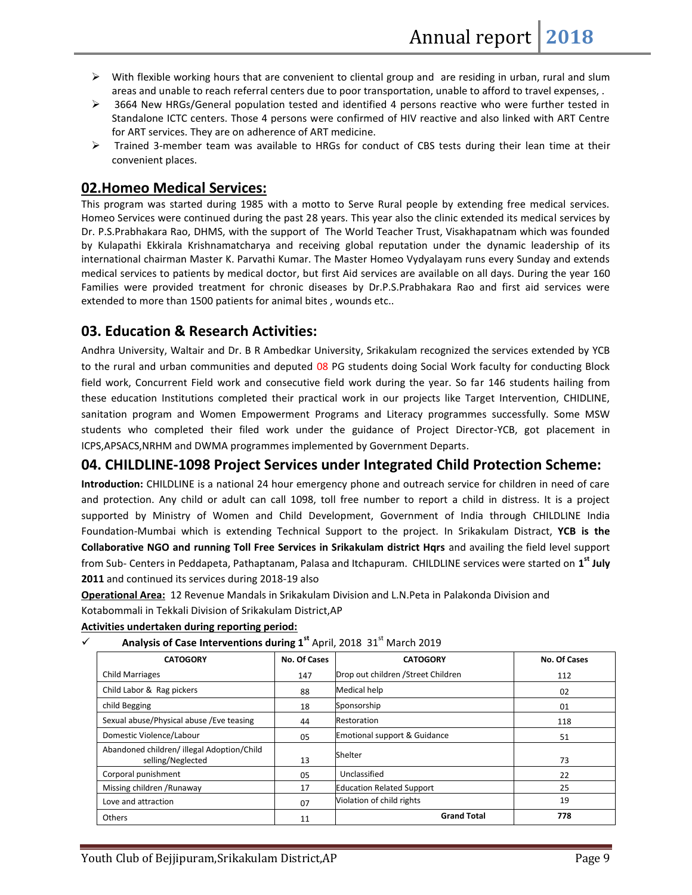- $\triangleright$  With flexible working hours that are convenient to cliental group and are residing in urban, rural and slum areas and unable to reach referral centers due to poor transportation, unable to afford to travel expenses, .
- 3664 New HRGs/General population tested and identified 4 persons reactive who were further tested in Standalone ICTC centers. Those 4 persons were confirmed of HIV reactive and also linked with ART Centre for ART services. They are on adherence of ART medicine.
- $\triangleright$  Trained 3-member team was available to HRGs for conduct of CBS tests during their lean time at their convenient places.

# **02.Homeo Medical Services:**

This program was started during 1985 with a motto to Serve Rural people by extending free medical services. Homeo Services were continued during the past 28 years. This year also the clinic extended its medical services by Dr. P.S.Prabhakara Rao, DHMS, with the support of The World Teacher Trust, Visakhapatnam which was founded by Kulapathi Ekkirala Krishnamatcharya and receiving global reputation under the dynamic leadership of its international chairman Master K. Parvathi Kumar. The Master Homeo Vydyalayam runs every Sunday and extends medical services to patients by medical doctor, but first Aid services are available on all days. During the year 160 Families were provided treatment for chronic diseases by Dr.P.S.Prabhakara Rao and first aid services were extended to more than 1500 patients for animal bites , wounds etc..

# **03. Education & Research Activities:**

Andhra University, Waltair and Dr. B R Ambedkar University, Srikakulam recognized the services extended by YCB to the rural and urban communities and deputed 08 PG students doing Social Work faculty for conducting Block field work, Concurrent Field work and consecutive field work during the year. So far 146 students hailing from these education Institutions completed their practical work in our projects like Target Intervention, CHIDLINE, sanitation program and Women Empowerment Programs and Literacy programmes successfully. Some MSW students who completed their filed work under the guidance of Project Director-YCB, got placement in ICPS,APSACS,NRHM and DWMA programmes implemented by Government Departs.

# **04. CHILDLINE-1098 Project Services under Integrated Child Protection Scheme:**

**Introduction:** CHILDLINE is a national 24 hour emergency phone and outreach service for children in need of care and protection. Any child or adult can call 1098, toll free number to report a child in distress. It is a project supported by Ministry of Women and Child Development, Government of India through CHILDLINE India Foundation-Mumbai which is extending Technical Support to the project. In Srikakulam Distract, **YCB is the Collaborative NGO and running Toll Free Services in Srikakulam district Hqrs** and availing the field level support from Sub- Centers in Peddapeta, Pathaptanam, Palasa and Itchapuram. CHILDLINE services were started on **1 st July 2011** and continued its services during 2018-19 also

**Operational Area:** 12 Revenue Mandals in Srikakulam Division and L.N.Peta in Palakonda Division and

Kotabommali in Tekkali Division of Srikakulam District,AP

#### **Activities undertaken during reporting period:**

|  | Analysis of Case Interventions during 1 <sup>st</sup> April, 2018 31 <sup>st</sup> March 2019 |  |  |
|--|-----------------------------------------------------------------------------------------------|--|--|
|--|-----------------------------------------------------------------------------------------------|--|--|

| <b>CATOGORY</b>                                                | <b>No. Of Cases</b> | <b>CATOGORY</b>                    | No. Of Cases |
|----------------------------------------------------------------|---------------------|------------------------------------|--------------|
| <b>Child Marriages</b>                                         | 147                 | Drop out children /Street Children | 112          |
| Child Labor & Rag pickers                                      | 88                  | Medical help                       | 02           |
| child Begging                                                  | 18                  | Sponsorship                        | 01           |
| Sexual abuse/Physical abuse / Eve teasing                      | 44                  | Restoration                        | 118          |
| Domestic Violence/Labour                                       | 05                  | Emotional support & Guidance       | 51           |
| Abandoned children/illegal Adoption/Child<br>selling/Neglected | 13                  | Shelter                            | 73           |
| Corporal punishment                                            | 05                  | Unclassified                       | 22           |
| Missing children / Runaway                                     | 17                  | <b>Education Related Support</b>   | 25           |
| Love and attraction                                            | 07                  | Violation of child rights          | 19           |
| Others                                                         | 11                  | <b>Grand Total</b>                 | 778          |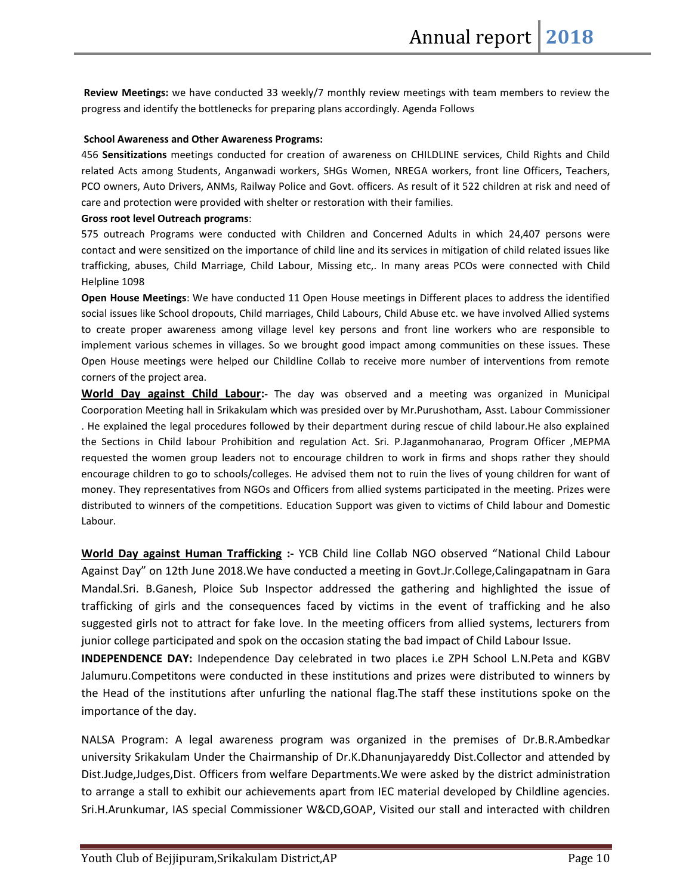**Review Meetings:** we have conducted 33 weekly/7 monthly review meetings with team members to review the progress and identify the bottlenecks for preparing plans accordingly. Agenda Follows

#### **School Awareness and Other Awareness Programs:**

456 **Sensitizations** meetings conducted for creation of awareness on CHILDLINE services, Child Rights and Child related Acts among Students, Anganwadi workers, SHGs Women, NREGA workers, front line Officers, Teachers, PCO owners, Auto Drivers, ANMs, Railway Police and Govt. officers. As result of it 522 children at risk and need of care and protection were provided with shelter or restoration with their families.

#### **Gross root level Outreach programs**:

575 outreach Programs were conducted with Children and Concerned Adults in which 24,407 persons were contact and were sensitized on the importance of child line and its services in mitigation of child related issues like trafficking, abuses, Child Marriage, Child Labour, Missing etc,. In many areas PCOs were connected with Child Helpline 1098

**Open House Meetings**: We have conducted 11 Open House meetings in Different places to address the identified social issues like School dropouts, Child marriages, Child Labours, Child Abuse etc. we have involved Allied systems to create proper awareness among village level key persons and front line workers who are responsible to implement various schemes in villages. So we brought good impact among communities on these issues. These Open House meetings were helped our Childline Collab to receive more number of interventions from remote corners of the project area.

**World Day against Child Labour:-** The day was observed and a meeting was organized in Municipal Coorporation Meeting hall in Srikakulam which was presided over by Mr.Purushotham, Asst. Labour Commissioner . He explained the legal procedures followed by their department during rescue of child labour.He also explained the Sections in Child labour Prohibition and regulation Act. Sri. P.Jaganmohanarao, Program Officer ,MEPMA requested the women group leaders not to encourage children to work in firms and shops rather they should encourage children to go to schools/colleges. He advised them not to ruin the lives of young children for want of money. They representatives from NGOs and Officers from allied systems participated in the meeting. Prizes were distributed to winners of the competitions. Education Support was given to victims of Child labour and Domestic Labour.

**World Day against Human Trafficking :-** YCB Child line Collab NGO observed "National Child Labour Against Day" on 12th June 2018.We have conducted a meeting in Govt.Jr.College,Calingapatnam in Gara Mandal.Sri. B.Ganesh, Ploice Sub Inspector addressed the gathering and highlighted the issue of trafficking of girls and the consequences faced by victims in the event of trafficking and he also suggested girls not to attract for fake love. In the meeting officers from allied systems, lecturers from junior college participated and spok on the occasion stating the bad impact of Child Labour Issue.

**INDEPENDENCE DAY:** Independence Day celebrated in two places i.e ZPH School L.N.Peta and KGBV Jalumuru.Competitons were conducted in these institutions and prizes were distributed to winners by the Head of the institutions after unfurling the national flag.The staff these institutions spoke on the importance of the day.

NALSA Program: A legal awareness program was organized in the premises of Dr.B.R.Ambedkar university Srikakulam Under the Chairmanship of Dr.K.Dhanunjayareddy Dist.Collector and attended by Dist.Judge,Judges,Dist. Officers from welfare Departments.We were asked by the district administration to arrange a stall to exhibit our achievements apart from IEC material developed by Childline agencies. Sri.H.Arunkumar, IAS special Commissioner W&CD,GOAP, Visited our stall and interacted with children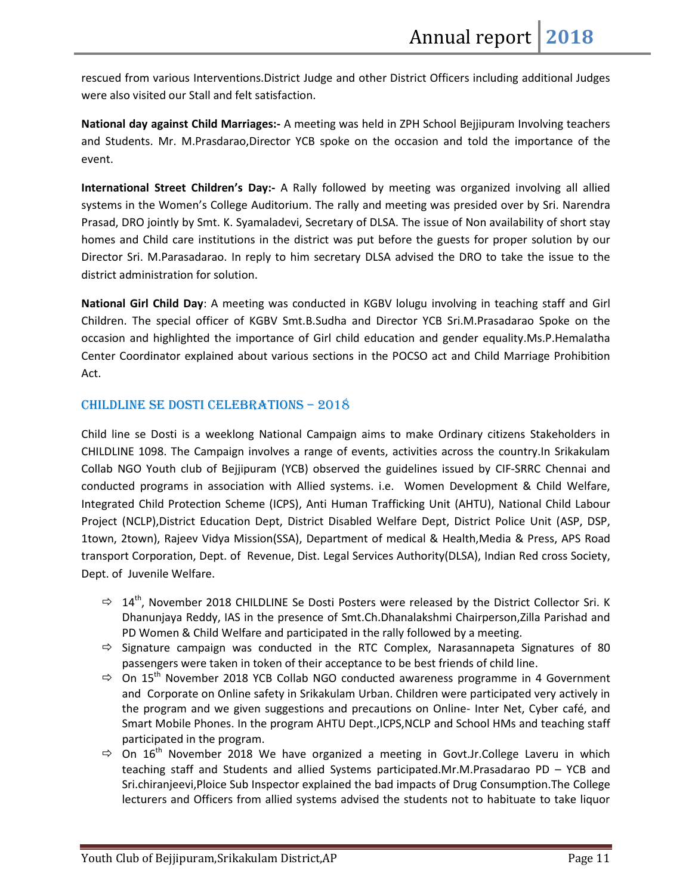rescued from various Interventions.District Judge and other District Officers including additional Judges were also visited our Stall and felt satisfaction.

**National day against Child Marriages:-** A meeting was held in ZPH School Bejjipuram Involving teachers and Students. Mr. M.Prasdarao,Director YCB spoke on the occasion and told the importance of the event.

**International Street Children's Day:-** A Rally followed by meeting was organized involving all allied systems in the Women's College Auditorium. The rally and meeting was presided over by Sri. Narendra Prasad, DRO jointly by Smt. K. Syamaladevi, Secretary of DLSA. The issue of Non availability of short stay homes and Child care institutions in the district was put before the guests for proper solution by our Director Sri. M.Parasadarao. In reply to him secretary DLSA advised the DRO to take the issue to the district administration for solution.

**National Girl Child Day**: A meeting was conducted in KGBV lolugu involving in teaching staff and Girl Children. The special officer of KGBV Smt.B.Sudha and Director YCB Sri.M.Prasadarao Spoke on the occasion and highlighted the importance of Girl child education and gender equality.Ms.P.Hemalatha Center Coordinator explained about various sections in the POCSO act and Child Marriage Prohibition Act.

### CHILDLINE SE DOSTI CELEBRATIONS - 2018

Child line se Dosti is a weeklong National Campaign aims to make Ordinary citizens Stakeholders in CHILDLINE 1098. The Campaign involves a range of events, activities across the country.In Srikakulam Collab NGO Youth club of Bejjipuram (YCB) observed the guidelines issued by CIF-SRRC Chennai and conducted programs in association with Allied systems. i.e. Women Development & Child Welfare, Integrated Child Protection Scheme (ICPS), Anti Human Trafficking Unit (AHTU), National Child Labour Project (NCLP),District Education Dept, District Disabled Welfare Dept, District Police Unit (ASP, DSP, 1town, 2town), Rajeev Vidya Mission(SSA), Department of medical & Health,Media & Press, APS Road transport Corporation, Dept. of Revenue, Dist. Legal Services Authority(DLSA), Indian Red cross Society, Dept. of Juvenile Welfare.

- $\Rightarrow$  14<sup>th</sup>. November 2018 CHILDLINE Se Dosti Posters were released by the District Collector Sri. K Dhanunjaya Reddy, IAS in the presence of Smt.Ch.Dhanalakshmi Chairperson,Zilla Parishad and PD Women & Child Welfare and participated in the rally followed by a meeting.
- $\Rightarrow$  Signature campaign was conducted in the RTC Complex, Narasannapeta Signatures of 80 passengers were taken in token of their acceptance to be best friends of child line.
- $\Rightarrow$  On 15<sup>th</sup> November 2018 YCB Collab NGO conducted awareness programme in 4 Government and Corporate on Online safety in Srikakulam Urban. Children were participated very actively in the program and we given suggestions and precautions on Online- Inter Net, Cyber café, and Smart Mobile Phones. In the program AHTU Dept.,ICPS,NCLP and School HMs and teaching staff participated in the program.
- $\Rightarrow$  On 16<sup>th</sup> November 2018 We have organized a meeting in Govt.Jr.College Laveru in which teaching staff and Students and allied Systems participated.Mr.M.Prasadarao PD – YCB and Sri.chiranjeevi,Ploice Sub Inspector explained the bad impacts of Drug Consumption.The College lecturers and Officers from allied systems advised the students not to habituate to take liquor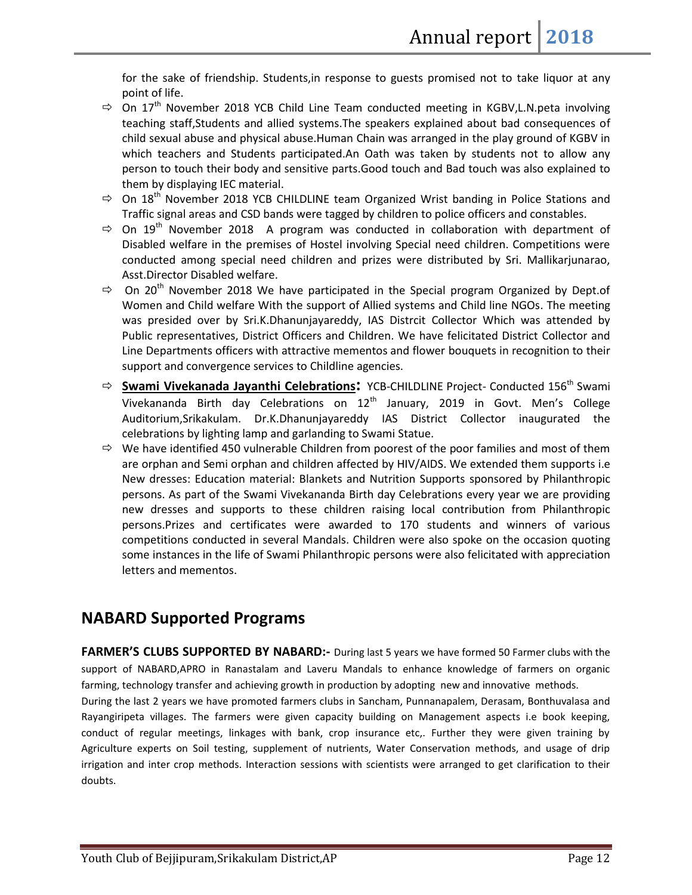for the sake of friendship. Students,in response to guests promised not to take liquor at any point of life.

- $\Rightarrow$  On 17<sup>th</sup> November 2018 YCB Child Line Team conducted meeting in KGBV,L.N.peta involving teaching staff,Students and allied systems.The speakers explained about bad consequences of child sexual abuse and physical abuse.Human Chain was arranged in the play ground of KGBV in which teachers and Students participated.An Oath was taken by students not to allow any person to touch their body and sensitive parts.Good touch and Bad touch was also explained to them by displaying IEC material.
- $\Rightarrow$  On 18<sup>th</sup> November 2018 YCB CHILDLINE team Organized Wrist banding in Police Stations and Traffic signal areas and CSD bands were tagged by children to police officers and constables.
- $\Rightarrow$  On 19<sup>th</sup> November 2018 A program was conducted in collaboration with department of Disabled welfare in the premises of Hostel involving Special need children. Competitions were conducted among special need children and prizes were distributed by Sri. Mallikarjunarao, Asst.Director Disabled welfare.
- $\Rightarrow$  On 20<sup>th</sup> November 2018 We have participated in the Special program Organized by Dept.of Women and Child welfare With the support of Allied systems and Child line NGOs. The meeting was presided over by Sri.K.Dhanunjayareddy, IAS Distrcit Collector Which was attended by Public representatives, District Officers and Children. We have felicitated District Collector and Line Departments officers with attractive mementos and flower bouquets in recognition to their support and convergence services to Childline agencies.
- $\Rightarrow$  **Swami Vivekanada Jayanthi Celebrations**: YCB-CHILDLINE Project- Conducted 156<sup>th</sup> Swami Vivekananda Birth day Celebrations on  $12<sup>th</sup>$  January, 2019 in Govt. Men's College Auditorium,Srikakulam. Dr.K.Dhanunjayareddy IAS District Collector inaugurated the celebrations by lighting lamp and garlanding to Swami Statue.
- $\Rightarrow$  We have identified 450 vulnerable Children from poorest of the poor families and most of them are orphan and Semi orphan and children affected by HIV/AIDS. We extended them supports i.e New dresses: Education material: Blankets and Nutrition Supports sponsored by Philanthropic persons. As part of the Swami Vivekananda Birth day Celebrations every year we are providing new dresses and supports to these children raising local contribution from Philanthropic persons.Prizes and certificates were awarded to 170 students and winners of various competitions conducted in several Mandals. Children were also spoke on the occasion quoting some instances in the life of Swami Philanthropic persons were also felicitated with appreciation letters and mementos.

# **NABARD Supported Programs**

**FARMER'S CLUBS SUPPORTED BY NABARD:-** During last 5 years we have formed 50 Farmer clubs with the support of NABARD,APRO in Ranastalam and Laveru Mandals to enhance knowledge of farmers on organic farming, technology transfer and achieving growth in production by adopting new and innovative methods.

During the last 2 years we have promoted farmers clubs in Sancham, Punnanapalem, Derasam, Bonthuvalasa and Rayangiripeta villages. The farmers were given capacity building on Management aspects i.e book keeping, conduct of regular meetings, linkages with bank, crop insurance etc,. Further they were given training by Agriculture experts on Soil testing, supplement of nutrients, Water Conservation methods, and usage of drip irrigation and inter crop methods. Interaction sessions with scientists were arranged to get clarification to their doubts.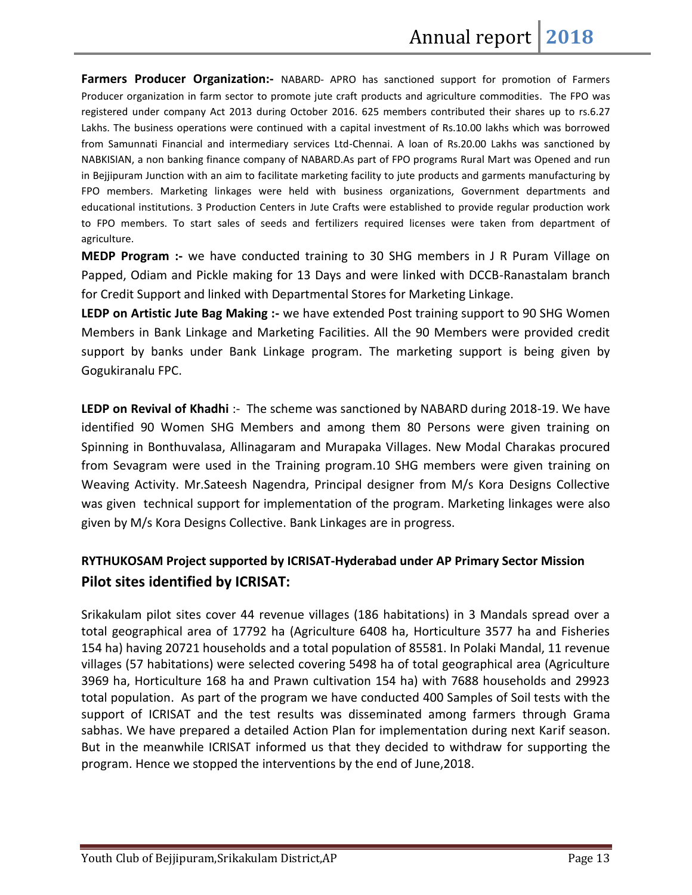**Farmers Producer Organization:-** NABARD- APRO has sanctioned support for promotion of Farmers Producer organization in farm sector to promote jute craft products and agriculture commodities. The FPO was registered under company Act 2013 during October 2016. 625 members contributed their shares up to rs.6.27 Lakhs. The business operations were continued with a capital investment of Rs.10.00 lakhs which was borrowed from Samunnati Financial and intermediary services Ltd-Chennai. A loan of Rs.20.00 Lakhs was sanctioned by NABKISIAN, a non banking finance company of NABARD.As part of FPO programs Rural Mart was Opened and run in Bejjipuram Junction with an aim to facilitate marketing facility to jute products and garments manufacturing by FPO members. Marketing linkages were held with business organizations, Government departments and educational institutions. 3 Production Centers in Jute Crafts were established to provide regular production work to FPO members. To start sales of seeds and fertilizers required licenses were taken from department of agriculture.

**MEDP Program :-** we have conducted training to 30 SHG members in J R Puram Village on Papped, Odiam and Pickle making for 13 Days and were linked with DCCB-Ranastalam branch for Credit Support and linked with Departmental Stores for Marketing Linkage.

**LEDP on Artistic Jute Bag Making :-** we have extended Post training support to 90 SHG Women Members in Bank Linkage and Marketing Facilities. All the 90 Members were provided credit support by banks under Bank Linkage program. The marketing support is being given by Gogukiranalu FPC.

**LEDP on Revival of Khadhi** :- The scheme was sanctioned by NABARD during 2018-19. We have identified 90 Women SHG Members and among them 80 Persons were given training on Spinning in Bonthuvalasa, Allinagaram and Murapaka Villages. New Modal Charakas procured from Sevagram were used in the Training program.10 SHG members were given training on Weaving Activity. Mr.Sateesh Nagendra, Principal designer from M/s Kora Designs Collective was given technical support for implementation of the program. Marketing linkages were also given by M/s Kora Designs Collective. Bank Linkages are in progress.

# **RYTHUKOSAM Project supported by ICRISAT-Hyderabad under AP Primary Sector Mission Pilot sites identified by ICRISAT:**

Srikakulam pilot sites cover 44 revenue villages (186 habitations) in 3 Mandals spread over a total geographical area of 17792 ha (Agriculture 6408 ha, Horticulture 3577 ha and Fisheries 154 ha) having 20721 households and a total population of 85581. In Polaki Mandal, 11 revenue villages (57 habitations) were selected covering 5498 ha of total geographical area (Agriculture 3969 ha, Horticulture 168 ha and Prawn cultivation 154 ha) with 7688 households and 29923 total population. As part of the program we have conducted 400 Samples of Soil tests with the support of ICRISAT and the test results was disseminated among farmers through Grama sabhas. We have prepared a detailed Action Plan for implementation during next Karif season. But in the meanwhile ICRISAT informed us that they decided to withdraw for supporting the program. Hence we stopped the interventions by the end of June,2018.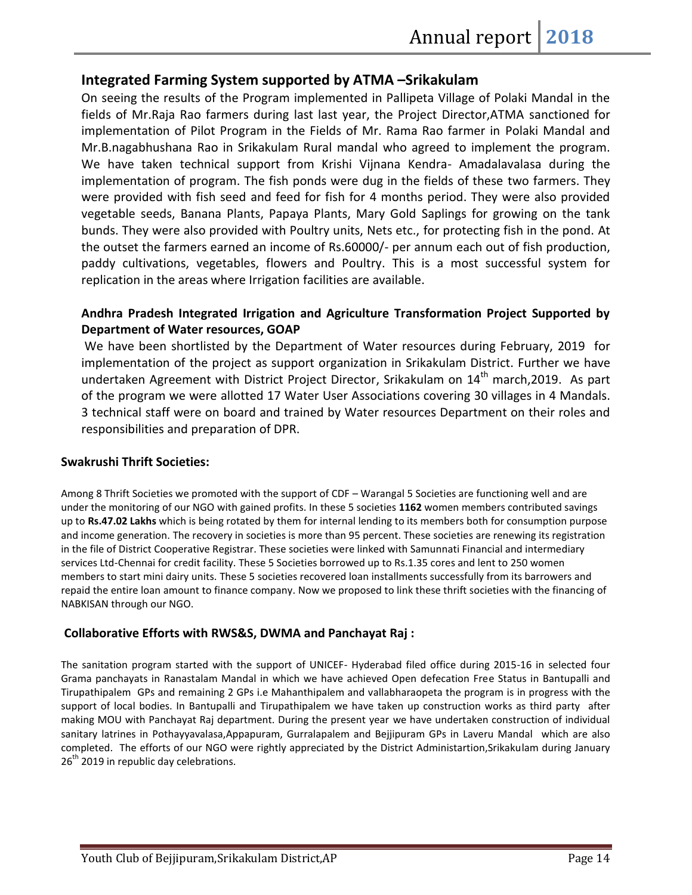# **Integrated Farming System supported by ATMA –Srikakulam**

On seeing the results of the Program implemented in Pallipeta Village of Polaki Mandal in the fields of Mr.Raja Rao farmers during last last year, the Project Director,ATMA sanctioned for implementation of Pilot Program in the Fields of Mr. Rama Rao farmer in Polaki Mandal and Mr.B.nagabhushana Rao in Srikakulam Rural mandal who agreed to implement the program. We have taken technical support from Krishi Vijnana Kendra- Amadalavalasa during the implementation of program. The fish ponds were dug in the fields of these two farmers. They were provided with fish seed and feed for fish for 4 months period. They were also provided vegetable seeds, Banana Plants, Papaya Plants, Mary Gold Saplings for growing on the tank bunds. They were also provided with Poultry units, Nets etc., for protecting fish in the pond. At the outset the farmers earned an income of Rs.60000/- per annum each out of fish production, paddy cultivations, vegetables, flowers and Poultry. This is a most successful system for replication in the areas where Irrigation facilities are available.

## **Andhra Pradesh Integrated Irrigation and Agriculture Transformation Project Supported by Department of Water resources, GOAP**

 We have been shortlisted by the Department of Water resources during February, 2019 for implementation of the project as support organization in Srikakulam District. Further we have undertaken Agreement with District Project Director, Srikakulam on 14<sup>th</sup> march,2019. As part of the program we were allotted 17 Water User Associations covering 30 villages in 4 Mandals. 3 technical staff were on board and trained by Water resources Department on their roles and responsibilities and preparation of DPR.

#### **Swakrushi Thrift Societies:**

Among 8 Thrift Societies we promoted with the support of CDF – Warangal 5 Societies are functioning well and are under the monitoring of our NGO with gained profits. In these 5 societies **1162** women members contributed savings up to **Rs.47.02 Lakhs** which is being rotated by them for internal lending to its members both for consumption purpose and income generation. The recovery in societies is more than 95 percent. These societies are renewing its registration in the file of District Cooperative Registrar. These societies were linked with Samunnati Financial and intermediary services Ltd-Chennai for credit facility. These 5 Societies borrowed up to Rs.1.35 cores and lent to 250 women members to start mini dairy units. These 5 societies recovered loan installments successfully from its barrowers and repaid the entire loan amount to finance company. Now we proposed to link these thrift societies with the financing of NABKISAN through our NGO.

# **Collaborative Efforts with RWS&S, DWMA and Panchayat Raj :**

The sanitation program started with the support of UNICEF- Hyderabad filed office during 2015-16 in selected four Grama panchayats in Ranastalam Mandal in which we have achieved Open defecation Free Status in Bantupalli and Tirupathipalem GPs and remaining 2 GPs i.e Mahanthipalem and vallabharaopeta the program is in progress with the support of local bodies. In Bantupalli and Tirupathipalem we have taken up construction works as third party after making MOU with Panchayat Raj department. During the present year we have undertaken construction of individual sanitary latrines in Pothayyavalasa,Appapuram, Gurralapalem and Bejjipuram GPs in Laveru Mandal which are also completed. The efforts of our NGO were rightly appreciated by the District Administartion,Srikakulam during January  $26<sup>th</sup>$  2019 in republic day celebrations.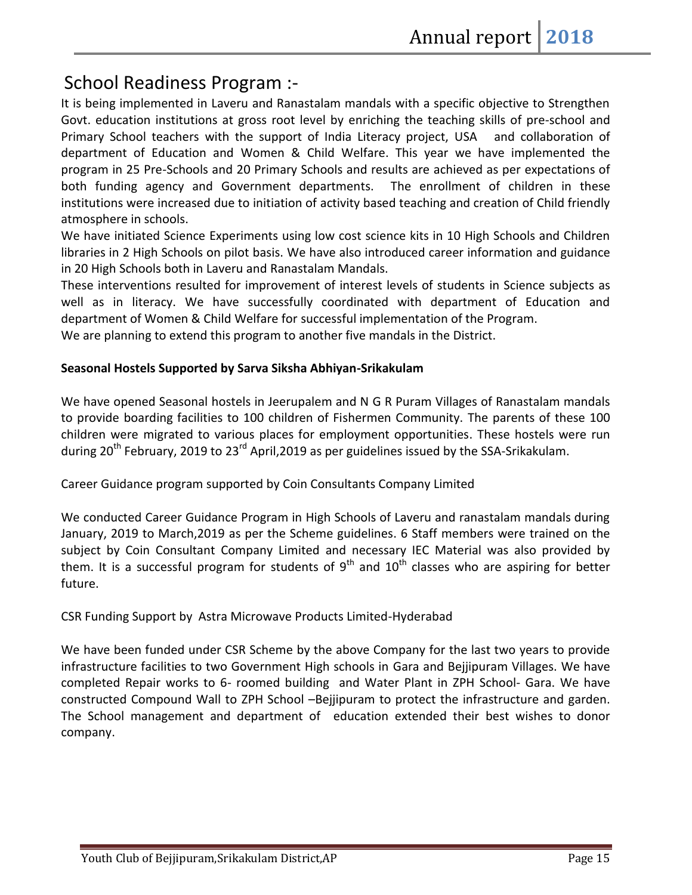# School Readiness Program :-

It is being implemented in Laveru and Ranastalam mandals with a specific objective to Strengthen Govt. education institutions at gross root level by enriching the teaching skills of pre-school and Primary School teachers with the support of India Literacy project, USA and collaboration of department of Education and Women & Child Welfare. This year we have implemented the program in 25 Pre-Schools and 20 Primary Schools and results are achieved as per expectations of both funding agency and Government departments. The enrollment of children in these institutions were increased due to initiation of activity based teaching and creation of Child friendly atmosphere in schools.

We have initiated Science Experiments using low cost science kits in 10 High Schools and Children libraries in 2 High Schools on pilot basis. We have also introduced career information and guidance in 20 High Schools both in Laveru and Ranastalam Mandals.

These interventions resulted for improvement of interest levels of students in Science subjects as well as in literacy. We have successfully coordinated with department of Education and department of Women & Child Welfare for successful implementation of the Program.

We are planning to extend this program to another five mandals in the District.

# **Seasonal Hostels Supported by Sarva Siksha Abhiyan-Srikakulam**

We have opened Seasonal hostels in Jeerupalem and N G R Puram Villages of Ranastalam mandals to provide boarding facilities to 100 children of Fishermen Community. The parents of these 100 children were migrated to various places for employment opportunities. These hostels were run during 20<sup>th</sup> February, 2019 to 23<sup>rd</sup> April, 2019 as per guidelines issued by the SSA-Srikakulam.

Career Guidance program supported by Coin Consultants Company Limited

We conducted Career Guidance Program in High Schools of Laveru and ranastalam mandals during January, 2019 to March,2019 as per the Scheme guidelines. 6 Staff members were trained on the subject by Coin Consultant Company Limited and necessary IEC Material was also provided by them. It is a successful program for students of  $9<sup>th</sup>$  and  $10<sup>th</sup>$  classes who are aspiring for better future.

CSR Funding Support by Astra Microwave Products Limited-Hyderabad

We have been funded under CSR Scheme by the above Company for the last two years to provide infrastructure facilities to two Government High schools in Gara and Bejjipuram Villages. We have completed Repair works to 6- roomed building and Water Plant in ZPH School- Gara. We have constructed Compound Wall to ZPH School –Bejjipuram to protect the infrastructure and garden. The School management and department of education extended their best wishes to donor company.